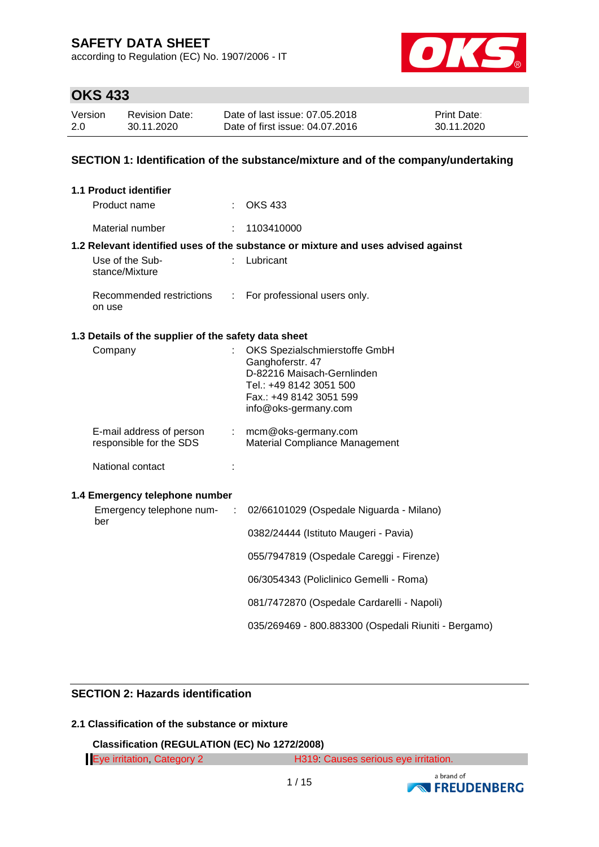according to Regulation (EC) No. 1907/2006 - IT



# **OKS 433**

| Version | <b>Revision Date:</b> | Date of last issue: 07,05,2018  | <b>Print Date:</b> |
|---------|-----------------------|---------------------------------|--------------------|
| 2.0     | 30.11.2020            | Date of first issue: 04.07.2016 | 30.11.2020         |

### **SECTION 1: Identification of the substance/mixture and of the company/undertaking**

|     | <b>1.1 Product identifier</b>                        |                       |                                                                                                                                                               |
|-----|------------------------------------------------------|-----------------------|---------------------------------------------------------------------------------------------------------------------------------------------------------------|
|     | Product name                                         |                       | <b>OKS 433</b>                                                                                                                                                |
|     | Material number                                      | t.                    | 1103410000                                                                                                                                                    |
|     |                                                      |                       | 1.2 Relevant identified uses of the substance or mixture and uses advised against                                                                             |
|     | Use of the Sub-<br>stance/Mixture                    |                       | Lubricant                                                                                                                                                     |
|     | Recommended restrictions<br>on use                   | $\mathbb{Z}^{\times}$ | For professional users only.                                                                                                                                  |
|     | 1.3 Details of the supplier of the safety data sheet |                       |                                                                                                                                                               |
|     | Company                                              |                       | OKS Spezialschmierstoffe GmbH<br>Ganghoferstr. 47<br>D-82216 Maisach-Gernlinden<br>Tel.: +49 8142 3051 500<br>Fax.: +49 8142 3051 599<br>info@oks-germany.com |
|     | E-mail address of person<br>responsible for the SDS  |                       | : mcm@oks-germany.com<br>Material Compliance Management                                                                                                       |
|     | National contact                                     |                       |                                                                                                                                                               |
|     | 1.4 Emergency telephone number                       |                       |                                                                                                                                                               |
|     | Emergency telephone num- :                           |                       | 02/66101029 (Ospedale Niguarda - Milano)                                                                                                                      |
| ber |                                                      |                       | 0382/24444 (Istituto Maugeri - Pavia)                                                                                                                         |
|     |                                                      |                       | 055/7947819 (Ospedale Careggi - Firenze)                                                                                                                      |
|     |                                                      |                       | 06/3054343 (Policlinico Gemelli - Roma)                                                                                                                       |
|     |                                                      |                       | 081/7472870 (Ospedale Cardarelli - Napoli)                                                                                                                    |
|     |                                                      |                       | 035/269469 - 800.883300 (Ospedali Riuniti - Bergamo)                                                                                                          |
|     |                                                      |                       |                                                                                                                                                               |

## **SECTION 2: Hazards identification**

## **2.1 Classification of the substance or mixture**

**Classification (REGULATION (EC) No 1272/2008)**

| Eye irritation, Category 2 | H319 Causes serious eye irritation. |
|----------------------------|-------------------------------------|
|                            |                                     |

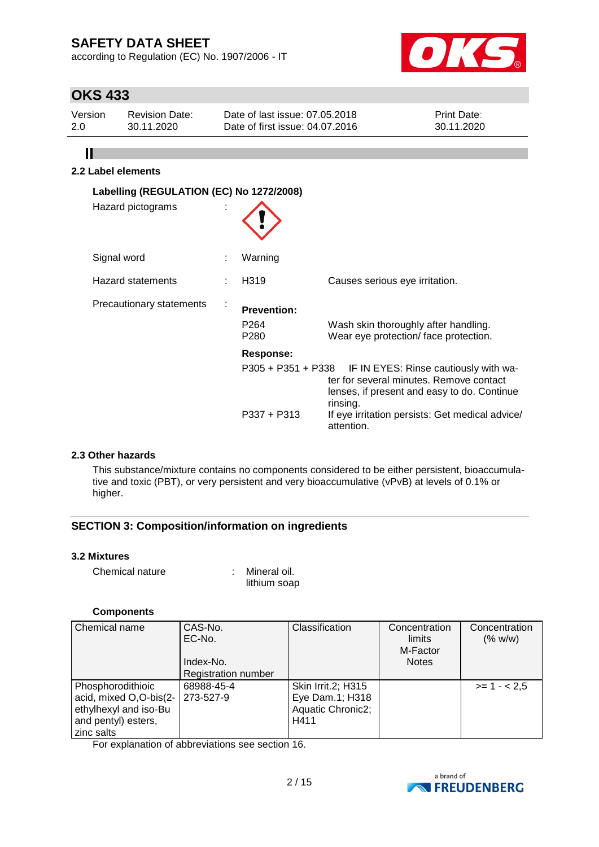according to Regulation (EC) No. 1907/2006 - IT



# **OKS 433**

 $\mathbf{II}$ 

| Version | <b>Revision Date:</b> | Date of last issue: 07.05.2018  | <b>Print Date:</b> |
|---------|-----------------------|---------------------------------|--------------------|
| 2.0     | 30.11.2020            | Date of first issue: 04.07.2016 | 30.11.2020         |
|         |                       |                                 |                    |

## **2.2 Label elements**

| Labelling (REGULATION (EC) No 1272/2008)<br>Hazard pictograms |                                                            |                                                                                                                                                                                                                                 |
|---------------------------------------------------------------|------------------------------------------------------------|---------------------------------------------------------------------------------------------------------------------------------------------------------------------------------------------------------------------------------|
| Signal word                                                   | Warning                                                    |                                                                                                                                                                                                                                 |
| <b>Hazard statements</b>                                      | H <sub>3</sub> 19                                          | Causes serious eye irritation.                                                                                                                                                                                                  |
| Precautionary statements                                      | <b>Prevention:</b><br>P <sub>264</sub><br>P <sub>280</sub> | Wash skin thoroughly after handling.<br>Wear eye protection/face protection.                                                                                                                                                    |
|                                                               | <b>Response:</b><br>$P337 + P313$                          | P305 + P351 + P338 IF IN EYES: Rinse cautiously with wa-<br>ter for several minutes. Remove contact<br>lenses, if present and easy to do. Continue<br>rinsing.<br>If eye irritation persists: Get medical advice/<br>attention. |

### **2.3 Other hazards**

This substance/mixture contains no components considered to be either persistent, bioaccumulative and toxic (PBT), or very persistent and very bioaccumulative (vPvB) at levels of 0.1% or higher.

### **SECTION 3: Composition/information on ingredients**

### **3.2 Mixtures**

| Chemical nature | Mineral oil. |
|-----------------|--------------|
|                 | lithium soap |

#### **Components**

| Chemical name          | CAS-No.<br>EC-No.          | Classification     | Concentration<br>limits<br>M-Factor | Concentration<br>(% w/w) |
|------------------------|----------------------------|--------------------|-------------------------------------|--------------------------|
|                        | Index-No.                  |                    | <b>Notes</b>                        |                          |
|                        | <b>Registration number</b> |                    |                                     |                          |
| Phosphorodithioic      | 68988-45-4                 | Skin Irrit.2; H315 |                                     | $>= 1 - 2.5$             |
| acid, mixed O,O-bis(2- | 273-527-9                  | Eye Dam.1; H318    |                                     |                          |
| ethylhexyl and iso-Bu  |                            | Aquatic Chronic2;  |                                     |                          |
| and pentyl) esters,    |                            | H411               |                                     |                          |
| zinc salts             |                            |                    |                                     |                          |

For explanation of abbreviations see section 16.

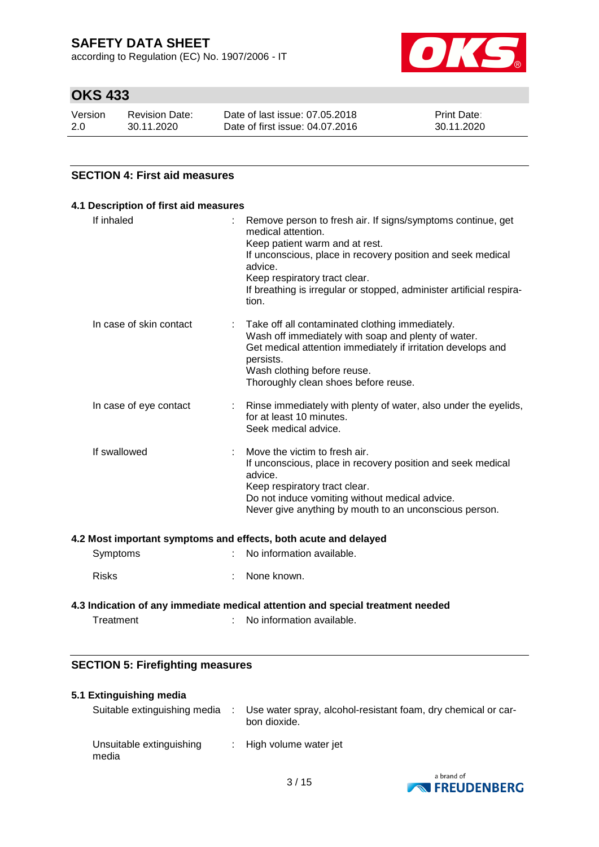according to Regulation (EC) No. 1907/2006 - IT



# **OKS 433**

| Version | <b>Revision Date:</b> | Date of last issue: 07.05.2018  | <b>Print Date:</b> |
|---------|-----------------------|---------------------------------|--------------------|
| 2.0     | 30.11.2020            | Date of first issue: 04.07.2016 | 30.11.2020         |

### **SECTION 4: First aid measures**

| If inhaled              | Remove person to fresh air. If signs/symptoms continue, get<br>medical attention.<br>Keep patient warm and at rest.<br>If unconscious, place in recovery position and seek medical<br>advice.<br>Keep respiratory tract clear.<br>If breathing is irregular or stopped, administer artificial respira-<br>tion. |
|-------------------------|-----------------------------------------------------------------------------------------------------------------------------------------------------------------------------------------------------------------------------------------------------------------------------------------------------------------|
| In case of skin contact | Take off all contaminated clothing immediately.<br>÷<br>Wash off immediately with soap and plenty of water.<br>Get medical attention immediately if irritation develops and<br>persists.<br>Wash clothing before reuse.<br>Thoroughly clean shoes before reuse.                                                 |
| In case of eye contact  | Rinse immediately with plenty of water, also under the eyelids,<br>for at least 10 minutes.<br>Seek medical advice.                                                                                                                                                                                             |
| If swallowed            | Move the victim to fresh air.<br>If unconscious, place in recovery position and seek medical<br>advice.<br>Keep respiratory tract clear.<br>Do not induce vomiting without medical advice.<br>Never give anything by mouth to an unconscious person.                                                            |

#### **4.2 Most important symptoms and effects, both acute and delayed**

| Symptoms     | : No information available. |
|--------------|-----------------------------|
| <b>Risks</b> | : None known.               |

# **4.3 Indication of any immediate medical attention and special treatment needed**

- Treatment : No information available.
	-

### **SECTION 5: Firefighting measures**

### **5.1 Extinguishing media**

| Suitable extinguishing media      | Use water spray, alcohol-resistant foam, dry chemical or car-<br>bon dioxide. |
|-----------------------------------|-------------------------------------------------------------------------------|
| Unsuitable extinguishing<br>media | : High volume water jet                                                       |

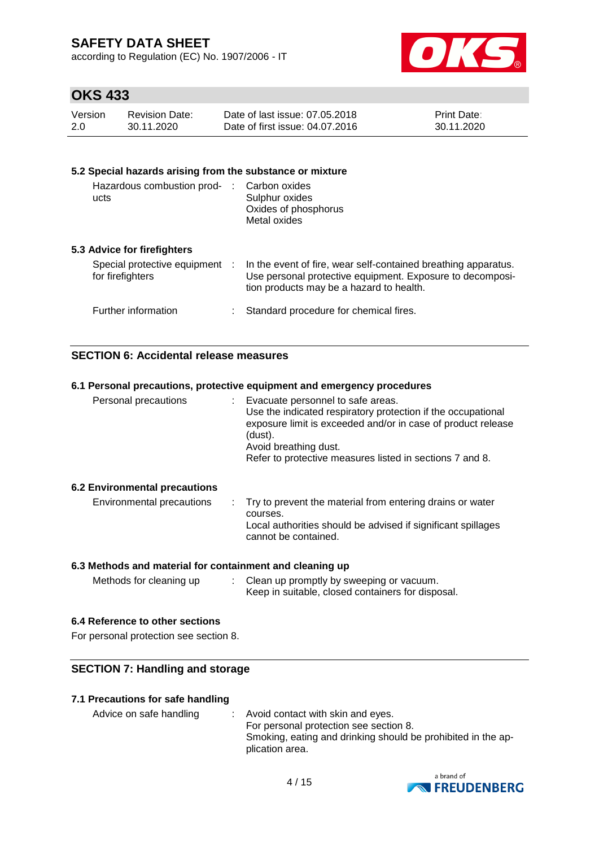according to Regulation (EC) No. 1907/2006 - IT



## **OKS 433**

| Version | <b>Revision Date:</b> | Date of last issue: 07.05.2018  | <b>Print Date:</b> |
|---------|-----------------------|---------------------------------|--------------------|
| 2.0     | 30.11.2020            | Date of first issue: 04.07.2016 | 30.11.2020         |

#### **5.2 Special hazards arising from the substance or mixture** Hazardous combustion prod-: Carbon oxides ucts Sulphur oxides Oxides of phosphorus Metal oxides

### **5.3 Advice for firefighters**

| Special protective equipment<br>for firefighters | In the event of fire, wear self-contained breathing apparatus.<br>Use personal protective equipment. Exposure to decomposi-<br>tion products may be a hazard to health. |
|--------------------------------------------------|-------------------------------------------------------------------------------------------------------------------------------------------------------------------------|
| Further information                              | : Standard procedure for chemical fires.                                                                                                                                |

### **SECTION 6: Accidental release measures**

|                                      | 6.1 Personal precautions, protective equipment and emergency procedures                                                                                                                                                                                             |
|--------------------------------------|---------------------------------------------------------------------------------------------------------------------------------------------------------------------------------------------------------------------------------------------------------------------|
| Personal precautions                 | : Evacuate personnel to safe areas.<br>Use the indicated respiratory protection if the occupational<br>exposure limit is exceeded and/or in case of product release<br>(dust).<br>Avoid breathing dust.<br>Refer to protective measures listed in sections 7 and 8. |
| <b>6.2 Environmental precautions</b> |                                                                                                                                                                                                                                                                     |
| Environmental precautions            | : Try to prevent the material from entering drains or water<br>courses.<br>Local authorities should be advised if significant spillages<br>cannot be contained.                                                                                                     |
|                                      |                                                                                                                                                                                                                                                                     |

### **6.3 Methods and material for containment and cleaning up**

| Methods for cleaning up | Clean up promptly by sweeping or vacuum.          |
|-------------------------|---------------------------------------------------|
|                         | Keep in suitable, closed containers for disposal. |

### **6.4 Reference to other sections**

For personal protection see section 8.

### **SECTION 7: Handling and storage**

### **7.1 Precautions for safe handling**

| Advice on safe handling | $\therefore$ Avoid contact with skin and eyes.               |
|-------------------------|--------------------------------------------------------------|
|                         | For personal protection see section 8.                       |
|                         | Smoking, eating and drinking should be prohibited in the ap- |
|                         | plication area.                                              |

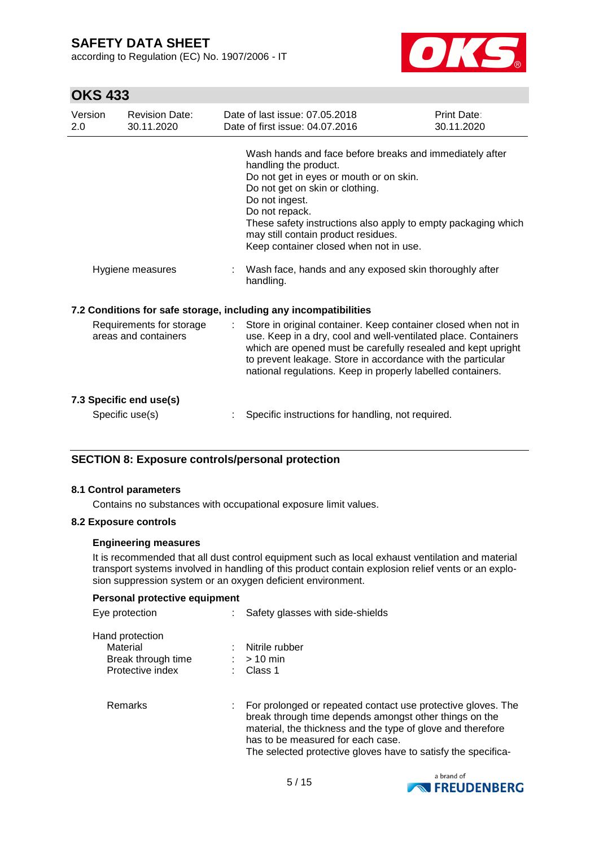according to Regulation (EC) No. 1907/2006 - IT



## **OKS 433**

| Version<br>2.0 | <b>Revision Date:</b><br>30.11.2020              | Date of last issue: 07.05.2018<br>Date of first issue: 04.07.2016                                                                                                                                                                                                                                                                                                                                                           | Print Date:<br>30.11.2020 |
|----------------|--------------------------------------------------|-----------------------------------------------------------------------------------------------------------------------------------------------------------------------------------------------------------------------------------------------------------------------------------------------------------------------------------------------------------------------------------------------------------------------------|---------------------------|
|                | Hygiene measures                                 | Wash hands and face before breaks and immediately after<br>handling the product.<br>Do not get in eyes or mouth or on skin.<br>Do not get on skin or clothing.<br>Do not ingest.<br>Do not repack.<br>These safety instructions also apply to empty packaging which<br>may still contain product residues.<br>Keep container closed when not in use.<br>Wash face, hands and any exposed skin thoroughly after<br>handling. |                           |
|                |                                                  | 7.2 Conditions for safe storage, including any incompatibilities                                                                                                                                                                                                                                                                                                                                                            |                           |
|                | Requirements for storage<br>areas and containers | Store in original container. Keep container closed when not in<br>use. Keep in a dry, cool and well-ventilated place. Containers<br>which are opened must be carefully resealed and kept upright<br>to prevent leakage. Store in accordance with the particular<br>national regulations. Keep in properly labelled containers.                                                                                              |                           |
|                | 7.3 Specific end use(s)                          |                                                                                                                                                                                                                                                                                                                                                                                                                             |                           |
|                | Specific use(s)                                  | Specific instructions for handling, not required.                                                                                                                                                                                                                                                                                                                                                                           |                           |

### **SECTION 8: Exposure controls/personal protection**

#### **8.1 Control parameters**

Contains no substances with occupational exposure limit values.

#### **8.2 Exposure controls**

#### **Engineering measures**

It is recommended that all dust control equipment such as local exhaust ventilation and material transport systems involved in handling of this product contain explosion relief vents or an explosion suppression system or an oxygen deficient environment.

#### **Personal protective equipment**

| Eye protection                                                        | : Safety glasses with side-shields                                                                                                                                                                                                                                                            |
|-----------------------------------------------------------------------|-----------------------------------------------------------------------------------------------------------------------------------------------------------------------------------------------------------------------------------------------------------------------------------------------|
| Hand protection<br>Material<br>Break through time<br>Protective index | Nitrile rubber<br>$:$ > 10 min<br>Class 1                                                                                                                                                                                                                                                     |
| Remarks                                                               | : For prolonged or repeated contact use protective gloves. The<br>break through time depends amongst other things on the<br>material, the thickness and the type of glove and therefore<br>has to be measured for each case.<br>The selected protective gloves have to satisfy the specifica- |

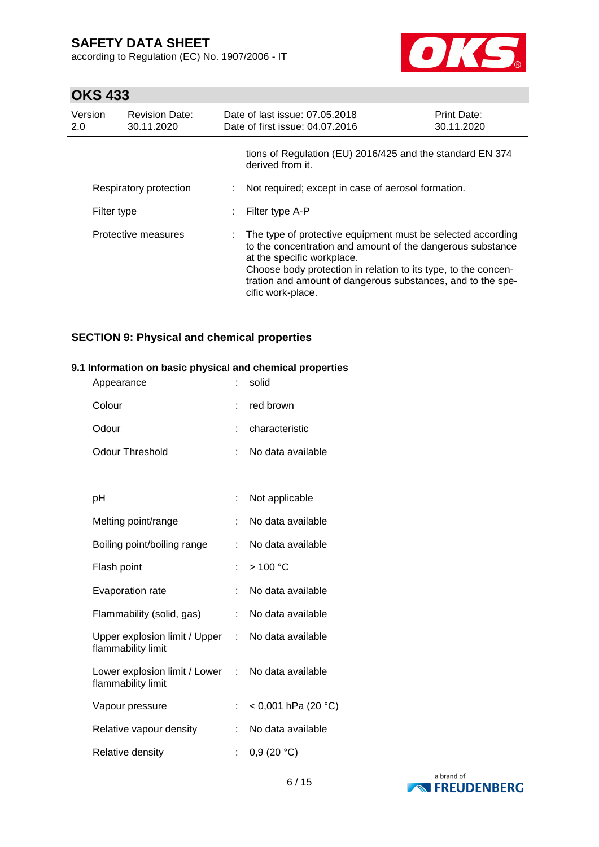according to Regulation (EC) No. 1907/2006 - IT



# **OKS 433**

| Version<br>2.0 | <b>Revision Date:</b><br>30.11.2020 | Date of last issue: 07.05.2018<br>Date of first issue: 04.07.2016                                                                                                                                                                                                                                               | <b>Print Date:</b><br>30.11.2020 |
|----------------|-------------------------------------|-----------------------------------------------------------------------------------------------------------------------------------------------------------------------------------------------------------------------------------------------------------------------------------------------------------------|----------------------------------|
|                |                                     | tions of Regulation (EU) 2016/425 and the standard EN 374<br>derived from it.                                                                                                                                                                                                                                   |                                  |
|                | Respiratory protection              | Not required; except in case of aerosol formation.                                                                                                                                                                                                                                                              |                                  |
| Filter type    |                                     | Filter type A-P                                                                                                                                                                                                                                                                                                 |                                  |
|                | Protective measures                 | : The type of protective equipment must be selected according<br>to the concentration and amount of the dangerous substance<br>at the specific workplace.<br>Choose body protection in relation to its type, to the concen-<br>tration and amount of dangerous substances, and to the spe-<br>cific work-place. |                                  |

## **SECTION 9: Physical and chemical properties**

#### **9.1 Information on basic physical and chemical properties** Appearance : solid

| πρρεαιαπνε                                            |    | oviiu               |
|-------------------------------------------------------|----|---------------------|
| Colour                                                | t  | red brown           |
| Odour                                                 | t. | characteristic      |
| <b>Odour Threshold</b>                                | t. | No data available   |
|                                                       |    |                     |
| рH                                                    | t. | Not applicable      |
| Melting point/range                                   | t. | No data available   |
| Boiling point/boiling range                           |    | No data available   |
| Flash point                                           | ŧ. | >100 °C             |
| <b>Evaporation rate</b>                               |    | No data available   |
| Flammability (solid, gas)                             | t. | No data available   |
| Upper explosion limit / Upper :<br>flammability limit |    | No data available   |
| Lower explosion limit / Lower :<br>flammability limit |    | No data available   |
| Vapour pressure                                       |    | < 0,001 hPa (20 °C) |
| Relative vapour density                               | ŧ. | No data available   |
| Relative density                                      | t. | 0,9(20 °C)          |

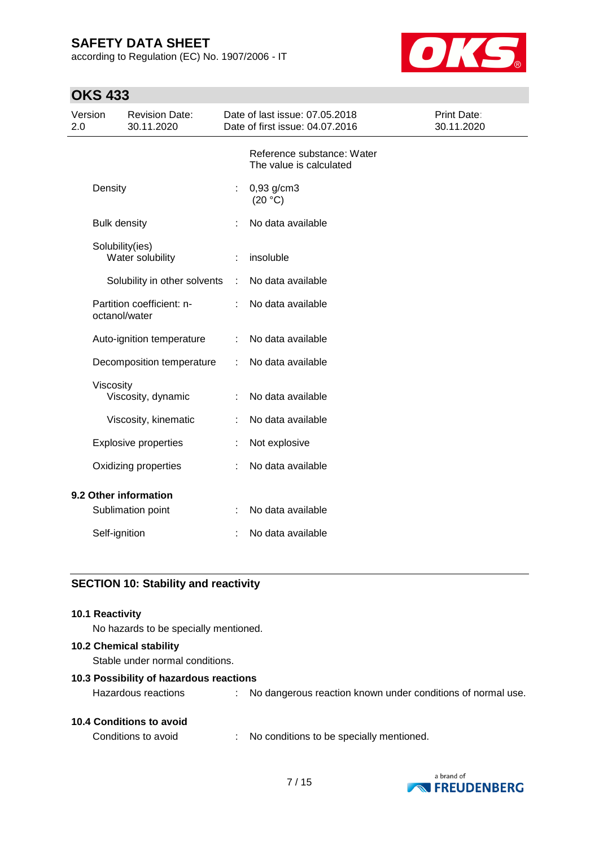according to Regulation (EC) No. 1907/2006 - IT



# **OKS 433**

| Version<br>2.0 |                     | <b>Revision Date:</b><br>30.11.2020 |   | Date of last issue: 07.05.2018<br>Date of first issue: 04.07.2016 | Print Date:<br>30.11.2020 |
|----------------|---------------------|-------------------------------------|---|-------------------------------------------------------------------|---------------------------|
|                |                     |                                     |   | Reference substance: Water<br>The value is calculated             |                           |
|                | Density             |                                     | t | 0,93 g/cm3<br>(20 °C)                                             |                           |
|                | <b>Bulk density</b> |                                     |   | No data available                                                 |                           |
|                | Solubility(ies)     | Water solubility                    |   | insoluble                                                         |                           |
|                |                     | Solubility in other solvents        | ÷ | No data available                                                 |                           |
|                | octanol/water       | Partition coefficient: n-           | t | No data available                                                 |                           |
|                |                     | Auto-ignition temperature           | ÷ | No data available                                                 |                           |
|                |                     | Decomposition temperature           | ÷ | No data available                                                 |                           |
|                | Viscosity           | Viscosity, dynamic                  | ÷ | No data available                                                 |                           |
|                |                     | Viscosity, kinematic                | t | No data available                                                 |                           |
|                |                     | <b>Explosive properties</b>         |   | Not explosive                                                     |                           |
|                |                     | Oxidizing properties                |   | No data available                                                 |                           |
|                |                     | 9.2 Other information               |   |                                                                   |                           |
|                |                     | Sublimation point                   | ÷ | No data available                                                 |                           |
|                | Self-ignition       |                                     | t | No data available                                                 |                           |

## **SECTION 10: Stability and reactivity**

#### **10.1 Reactivity**

No hazards to be specially mentioned.

### **10.2 Chemical stability**

Stable under normal conditions.

#### **10.3 Possibility of hazardous reactions**

| <b>10.4 Conditions to avoid</b> |  |
|---------------------------------|--|
|                                 |  |

Conditions to avoid : No conditions to be specially mentioned.



Hazardous reactions : No dangerous reaction known under conditions of normal use.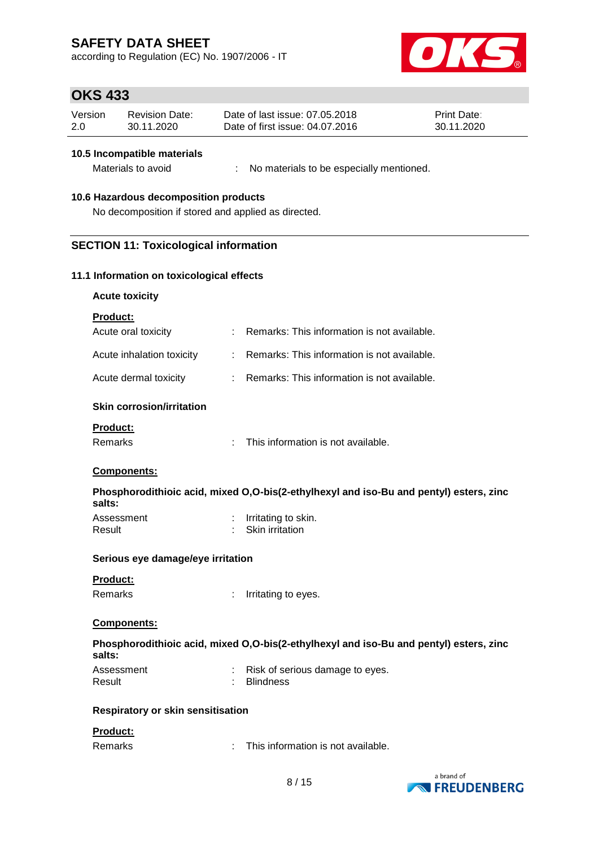according to Regulation (EC) No. 1907/2006 - IT



## **OKS 433**

| Version | Revision Date: | Date of last issue: 07.05.2018  | <b>Print Date:</b> |
|---------|----------------|---------------------------------|--------------------|
| 2.0     | 30.11.2020     | Date of first issue: 04.07.2016 | 30.11.2020         |

#### **10.5 Incompatible materials**

Materials to avoid : No materials to be especially mentioned.

#### **10.6 Hazardous decomposition products**

No decomposition if stored and applied as directed.

### **SECTION 11: Toxicological information**

#### **11.1 Information on toxicological effects**

**Acute toxicity**

|  | Product: |
|--|----------|
|  |          |

| Acute oral toxicity       | : Remarks: This information is not available. |
|---------------------------|-----------------------------------------------|
| Acute inhalation toxicity | : Remarks: This information is not available. |
| Acute dermal toxicity     | : Remarks: This information is not available. |

#### **Skin corrosion/irritation**

#### **Product:**

#### **Components:**

**Phosphorodithioic acid, mixed O,O-bis(2-ethylhexyl and iso-Bu and pentyl) esters, zinc salts:**

| Assessment | Irritating to skin.    |
|------------|------------------------|
| Result     | <b>Skin irritation</b> |

#### **Serious eye damage/eye irritation**

### **Product:**

Remarks : Irritating to eyes.

#### **Components:**

| Phosphorodithioic acid, mixed O,O-bis(2-ethylhexyl and iso-Bu and pentyl) esters, zinc |  |
|----------------------------------------------------------------------------------------|--|
| salts:                                                                                 |  |

| Assessment | Risk of serious damage to eyes. |
|------------|---------------------------------|
| Result     | Blindness                       |

#### **Respiratory or skin sensitisation**

#### **Product:**

| This information is not available. |
|------------------------------------|
|                                    |

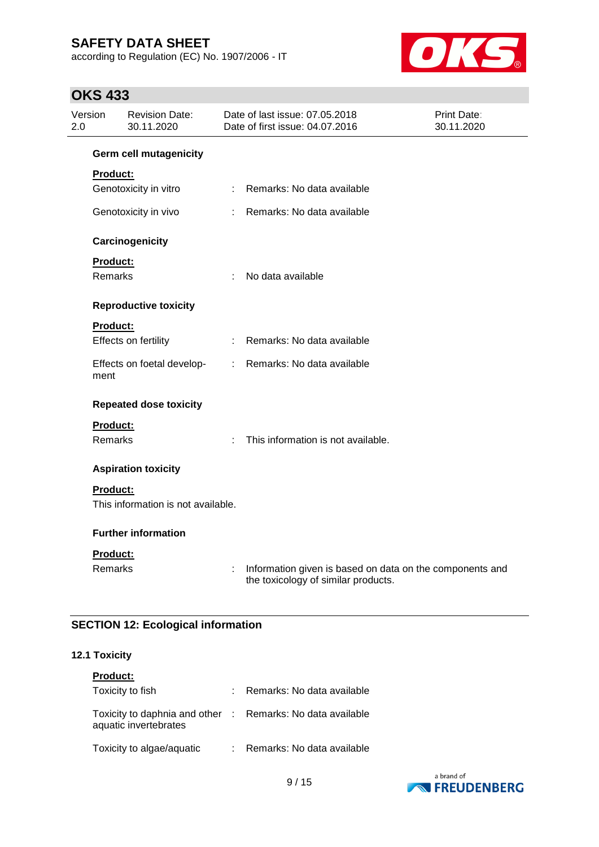according to Regulation (EC) No. 1907/2006 - IT



# **OKS 433**

| Version<br>2.0 |                 | <b>Revision Date:</b><br>30.11.2020 |                            | Date of last issue: 07.05.2018<br>Date of first issue: 04.07.2016                               | Print Date:<br>30.11.2020 |
|----------------|-----------------|-------------------------------------|----------------------------|-------------------------------------------------------------------------------------------------|---------------------------|
|                |                 | <b>Germ cell mutagenicity</b>       |                            |                                                                                                 |                           |
|                | <b>Product:</b> |                                     |                            |                                                                                                 |                           |
|                |                 | Genotoxicity in vitro               | $\mathcal{L}^{\text{max}}$ | Remarks: No data available                                                                      |                           |
|                |                 | Genotoxicity in vivo                | $\mathbb{R}^{\mathbb{Z}}$  | Remarks: No data available                                                                      |                           |
|                |                 | Carcinogenicity                     |                            |                                                                                                 |                           |
|                | <b>Product:</b> |                                     |                            |                                                                                                 |                           |
|                | <b>Remarks</b>  |                                     | ÷                          | No data available                                                                               |                           |
|                |                 | <b>Reproductive toxicity</b>        |                            |                                                                                                 |                           |
|                | <b>Product:</b> |                                     |                            |                                                                                                 |                           |
|                |                 | Effects on fertility                |                            | Remarks: No data available                                                                      |                           |
|                | ment            | Effects on foetal develop-          | $\mathcal{L}$              | Remarks: No data available                                                                      |                           |
|                |                 | <b>Repeated dose toxicity</b>       |                            |                                                                                                 |                           |
|                | <b>Product:</b> |                                     |                            |                                                                                                 |                           |
|                | <b>Remarks</b>  |                                     | ÷                          | This information is not available.                                                              |                           |
|                |                 | <b>Aspiration toxicity</b>          |                            |                                                                                                 |                           |
|                | <b>Product:</b> |                                     |                            |                                                                                                 |                           |
|                |                 | This information is not available.  |                            |                                                                                                 |                           |
|                |                 | <b>Further information</b>          |                            |                                                                                                 |                           |
|                | Product:        |                                     |                            |                                                                                                 |                           |
|                | Remarks         |                                     | t,                         | Information given is based on data on the components and<br>the toxicology of similar products. |                           |

## **SECTION 12: Ecological information**

### **12.1 Toxicity**

| <b>Product:</b>                                                                     |                              |
|-------------------------------------------------------------------------------------|------------------------------|
| Toxicity to fish                                                                    | : Remarks: No data available |
| Toxicity to daphnia and other : Remarks: No data available<br>aquatic invertebrates |                              |
| Toxicity to algae/aquatic                                                           | Remarks: No data available   |

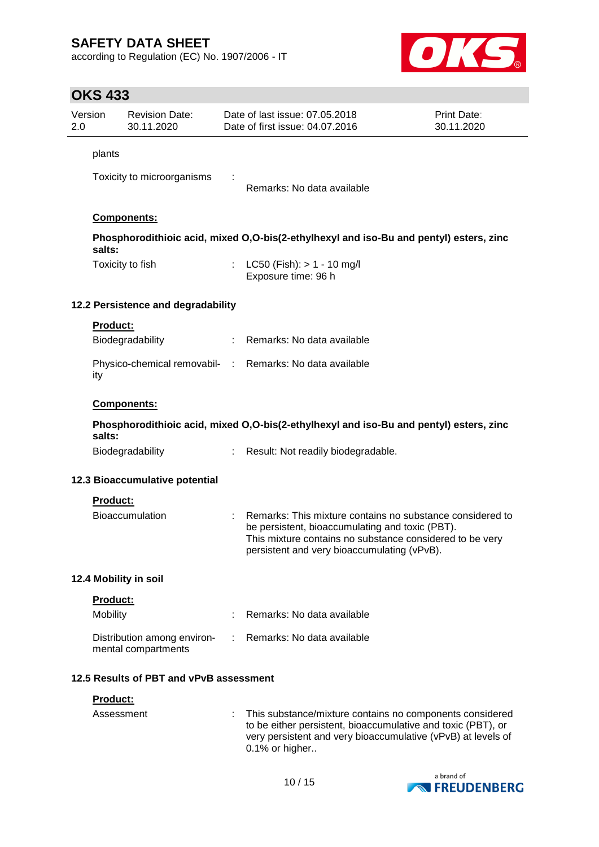according to Regulation (EC) No. 1907/2006 - IT



# **OKS 433**

| 2.0 | Version         | <b>Revision Date:</b><br>30.11.2020                |    | Date of last issue: 07.05.2018<br>Date of first issue: 04.07.2016                                                                                                                                                       | Print Date:<br>30.11.2020 |
|-----|-----------------|----------------------------------------------------|----|-------------------------------------------------------------------------------------------------------------------------------------------------------------------------------------------------------------------------|---------------------------|
|     | plants          |                                                    |    |                                                                                                                                                                                                                         |                           |
|     |                 | Toxicity to microorganisms                         |    | Remarks: No data available                                                                                                                                                                                              |                           |
|     |                 | Components:                                        |    |                                                                                                                                                                                                                         |                           |
|     | salts:          |                                                    |    | Phosphorodithioic acid, mixed O,O-bis(2-ethylhexyl and iso-Bu and pentyl) esters, zinc                                                                                                                                  |                           |
|     |                 | Toxicity to fish                                   |    | : LC50 (Fish): $> 1 - 10$ mg/l<br>Exposure time: 96 h                                                                                                                                                                   |                           |
|     |                 | 12.2 Persistence and degradability                 |    |                                                                                                                                                                                                                         |                           |
|     | <b>Product:</b> | Biodegradability                                   | ÷  | Remarks: No data available                                                                                                                                                                                              |                           |
|     | ity             |                                                    |    | Physico-chemical removabil- : Remarks: No data available                                                                                                                                                                |                           |
|     |                 | Components:                                        |    |                                                                                                                                                                                                                         |                           |
|     | salts:          |                                                    |    | Phosphorodithioic acid, mixed O,O-bis(2-ethylhexyl and iso-Bu and pentyl) esters, zinc                                                                                                                                  |                           |
|     |                 | Biodegradability                                   | ÷. | Result: Not readily biodegradable.                                                                                                                                                                                      |                           |
|     |                 | 12.3 Bioaccumulative potential                     |    |                                                                                                                                                                                                                         |                           |
|     | <b>Product:</b> |                                                    |    |                                                                                                                                                                                                                         |                           |
|     |                 | <b>Bioaccumulation</b>                             |    | Remarks: This mixture contains no substance considered to<br>be persistent, bioaccumulating and toxic (PBT).<br>This mixture contains no substance considered to be very<br>persistent and very bioaccumulating (vPvB). |                           |
|     |                 | 12.4 Mobility in soil                              |    |                                                                                                                                                                                                                         |                           |
|     | Product:        |                                                    |    |                                                                                                                                                                                                                         |                           |
|     | Mobility        |                                                    |    | Remarks: No data available                                                                                                                                                                                              |                           |
|     |                 | Distribution among environ-<br>mental compartments | ÷  | Remarks: No data available                                                                                                                                                                                              |                           |
|     |                 | 12.5 Results of PBT and vPvB assessment            |    |                                                                                                                                                                                                                         |                           |
|     | Product:        |                                                    |    |                                                                                                                                                                                                                         |                           |
|     | Assessment      |                                                    |    | This substance/mixture contains no components considered<br>to be either persistent, bioaccumulative and toxic (PBT), or<br>very persistent and very bioaccumulative (vPvB) at levels of<br>0.1% or higher              |                           |

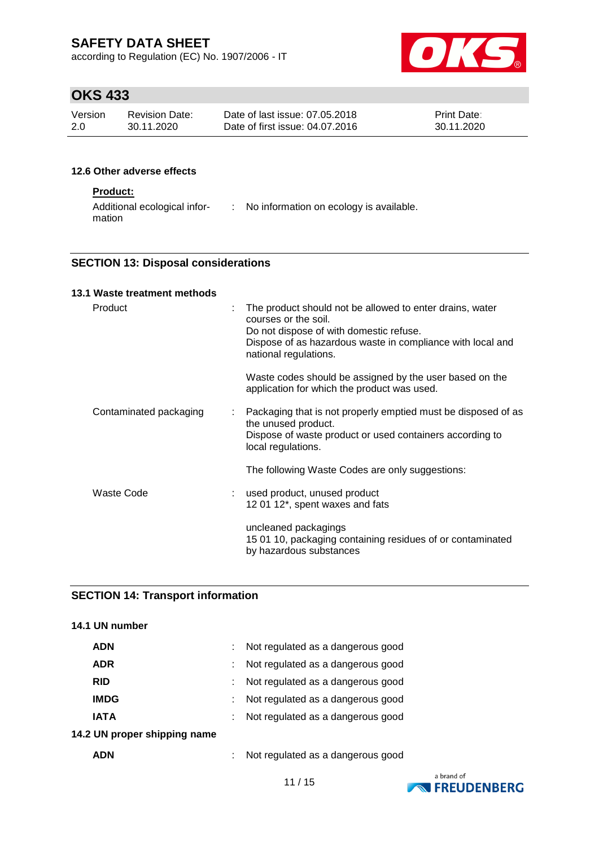according to Regulation (EC) No. 1907/2006 - IT



# **OKS 433**

| Version | Revision Date: | Date of last issue: 07.05.2018  | <b>Print Date:</b> |
|---------|----------------|---------------------------------|--------------------|
| 2.0     | 30.11.2020     | Date of first issue: 04.07.2016 | 30.11.2020         |

### **12.6 Other adverse effects**

### **Product:**

| Additional ecological infor- | No information on ecology is available. |
|------------------------------|-----------------------------------------|
| mation                       |                                         |

### **SECTION 13: Disposal considerations**

### **13.1 Waste treatment methods**

| Product                                             | The product should not be allowed to enter drains, water<br>courses or the soil.<br>Do not dispose of with domestic refuse.<br>Dispose of as hazardous waste in compliance with local and<br>national regulations. |
|-----------------------------------------------------|--------------------------------------------------------------------------------------------------------------------------------------------------------------------------------------------------------------------|
|                                                     | Waste codes should be assigned by the user based on the<br>application for which the product was used.                                                                                                             |
| Contaminated packaging<br>$\mathbb{Z}^{\mathbb{Z}}$ | Packaging that is not properly emptied must be disposed of as<br>the unused product.<br>Dispose of waste product or used containers according to<br>local regulations.                                             |
|                                                     | The following Waste Codes are only suggestions:                                                                                                                                                                    |
| Waste Code                                          | : used product, unused product<br>12 01 12*, spent waxes and fats                                                                                                                                                  |
|                                                     | uncleaned packagings<br>15 01 10, packaging containing residues of or contaminated<br>by hazardous substances                                                                                                      |

# **SECTION 14: Transport information**

## **14.1 UN number**

| <b>ADN</b>                   | Not regulated as a dangerous good |
|------------------------------|-----------------------------------|
| <b>ADR</b>                   | Not regulated as a dangerous good |
| <b>RID</b>                   | Not regulated as a dangerous good |
| <b>IMDG</b>                  | Not regulated as a dangerous good |
| <b>IATA</b>                  | Not regulated as a dangerous good |
| 14.2 UN proper shipping name |                                   |
| <b>ADN</b>                   | Not regulated as a dangerous good |

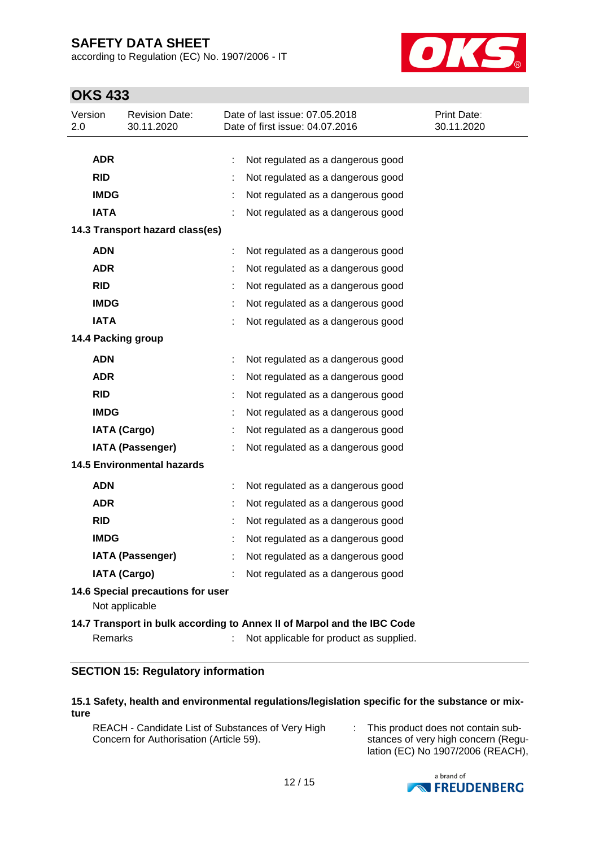according to Regulation (EC) No. 1907/2006 - IT



# **OKS 433**

| Version<br>2.0                                      |                                   | <b>Revision Date:</b><br>30.11.2020 |  | Date of last issue: 07.05.2018<br>Date of first issue: 04.07.2016       | Print Date:<br>30.11.2020 |  |  |
|-----------------------------------------------------|-----------------------------------|-------------------------------------|--|-------------------------------------------------------------------------|---------------------------|--|--|
|                                                     |                                   |                                     |  |                                                                         |                           |  |  |
|                                                     | <b>ADR</b>                        |                                     |  | Not regulated as a dangerous good                                       |                           |  |  |
|                                                     | <b>RID</b>                        |                                     |  | Not regulated as a dangerous good                                       |                           |  |  |
|                                                     | <b>IMDG</b>                       |                                     |  | Not regulated as a dangerous good                                       |                           |  |  |
|                                                     | <b>IATA</b>                       |                                     |  | Not regulated as a dangerous good                                       |                           |  |  |
|                                                     |                                   | 14.3 Transport hazard class(es)     |  |                                                                         |                           |  |  |
|                                                     | <b>ADN</b>                        |                                     |  | Not regulated as a dangerous good                                       |                           |  |  |
|                                                     | <b>ADR</b>                        |                                     |  | Not regulated as a dangerous good                                       |                           |  |  |
|                                                     | <b>RID</b>                        |                                     |  | Not regulated as a dangerous good                                       |                           |  |  |
|                                                     | <b>IMDG</b>                       |                                     |  | Not regulated as a dangerous good                                       |                           |  |  |
|                                                     | <b>IATA</b>                       |                                     |  | Not regulated as a dangerous good                                       |                           |  |  |
|                                                     |                                   | 14.4 Packing group                  |  |                                                                         |                           |  |  |
|                                                     | <b>ADN</b>                        |                                     |  | Not regulated as a dangerous good                                       |                           |  |  |
|                                                     | <b>ADR</b>                        |                                     |  | Not regulated as a dangerous good                                       |                           |  |  |
|                                                     | <b>RID</b>                        |                                     |  | Not regulated as a dangerous good                                       |                           |  |  |
|                                                     | <b>IMDG</b>                       |                                     |  | Not regulated as a dangerous good                                       |                           |  |  |
|                                                     |                                   | <b>IATA (Cargo)</b>                 |  | Not regulated as a dangerous good                                       |                           |  |  |
|                                                     |                                   | <b>IATA (Passenger)</b>             |  | Not regulated as a dangerous good                                       |                           |  |  |
|                                                     | <b>14.5 Environmental hazards</b> |                                     |  |                                                                         |                           |  |  |
|                                                     | <b>ADN</b>                        |                                     |  | Not regulated as a dangerous good                                       |                           |  |  |
|                                                     | <b>ADR</b>                        |                                     |  | Not regulated as a dangerous good                                       |                           |  |  |
|                                                     | <b>RID</b>                        |                                     |  | Not regulated as a dangerous good                                       |                           |  |  |
|                                                     | <b>IMDG</b>                       |                                     |  | Not regulated as a dangerous good                                       |                           |  |  |
|                                                     |                                   | <b>IATA (Passenger)</b>             |  | Not regulated as a dangerous good                                       |                           |  |  |
|                                                     |                                   | <b>IATA (Cargo)</b>                 |  | Not regulated as a dangerous good                                       |                           |  |  |
| 14.6 Special precautions for user<br>Not applicable |                                   |                                     |  |                                                                         |                           |  |  |
|                                                     |                                   |                                     |  | 14.7 Transport in bulk according to Annex II of Marpol and the IBC Code |                           |  |  |
|                                                     | Remarks                           |                                     |  | Not applicable for product as supplied.                                 |                           |  |  |
|                                                     |                                   |                                     |  |                                                                         |                           |  |  |

## **SECTION 15: Regulatory information**

#### **15.1 Safety, health and environmental regulations/legislation specific for the substance or mixture**

REACH - Candidate List of Substances of Very High Concern for Authorisation (Article 59).

: This product does not contain substances of very high concern (Regulation (EC) No 1907/2006 (REACH),

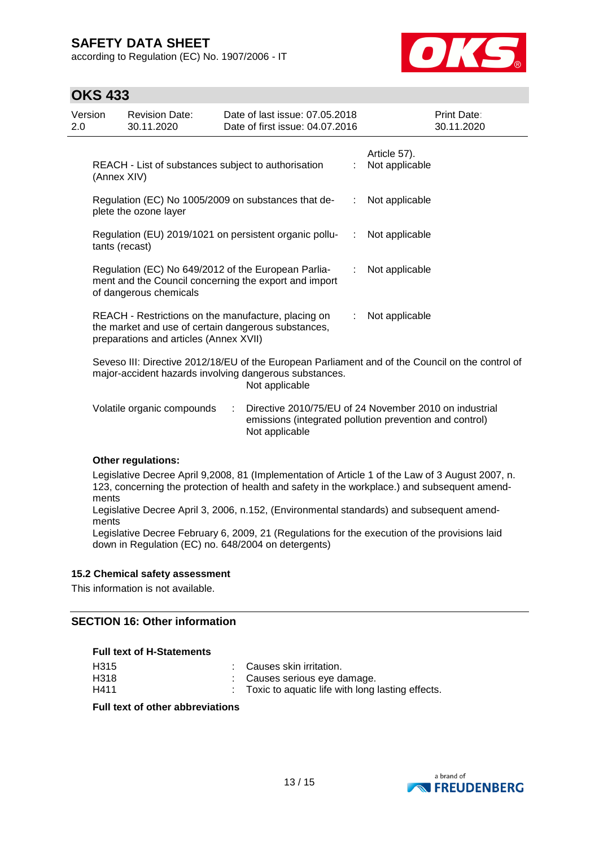according to Regulation (EC) No. 1907/2006 - IT



## **OKS 433**

| Version<br>2.0 |                                                                                                                                                                              | <b>Revision Date:</b><br>30.11.2020                                                                                                                  |                | Date of last issue: 07.05.2018<br>Date of first issue: 04.07.2016 |    | Print Date:<br>30.11.2020                                                                                         |  |
|----------------|------------------------------------------------------------------------------------------------------------------------------------------------------------------------------|------------------------------------------------------------------------------------------------------------------------------------------------------|----------------|-------------------------------------------------------------------|----|-------------------------------------------------------------------------------------------------------------------|--|
|                | (Annex XIV)                                                                                                                                                                  | REACH - List of substances subject to authorisation                                                                                                  |                |                                                                   | ÷  | Article 57).<br>Not applicable                                                                                    |  |
|                |                                                                                                                                                                              | Regulation (EC) No 1005/2009 on substances that de-<br>plete the ozone layer                                                                         | Not applicable |                                                                   |    |                                                                                                                   |  |
|                | tants (recast)                                                                                                                                                               | Regulation (EU) 2019/1021 on persistent organic pollu-                                                                                               | Not applicable |                                                                   |    |                                                                                                                   |  |
|                |                                                                                                                                                                              | Regulation (EC) No 649/2012 of the European Parlia-<br>of dangerous chemicals                                                                        |                | ment and the Council concerning the export and import             |    | Not applicable                                                                                                    |  |
|                |                                                                                                                                                                              | REACH - Restrictions on the manufacture, placing on<br>the market and use of certain dangerous substances,<br>preparations and articles (Annex XVII) |                |                                                                   | ÷. | Not applicable                                                                                                    |  |
|                | Seveso III: Directive 2012/18/EU of the European Parliament and of the Council on the control of<br>major-accident hazards involving dangerous substances.<br>Not applicable |                                                                                                                                                      |                |                                                                   |    |                                                                                                                   |  |
|                |                                                                                                                                                                              | Volatile organic compounds                                                                                                                           | ÷              | Not applicable                                                    |    | Directive 2010/75/EU of 24 November 2010 on industrial<br>emissions (integrated pollution prevention and control) |  |

#### **Other regulations:**

Legislative Decree April 9,2008, 81 (Implementation of Article 1 of the Law of 3 August 2007, n. 123, concerning the protection of health and safety in the workplace.) and subsequent amendments

Legislative Decree April 3, 2006, n.152, (Environmental standards) and subsequent amendments

Legislative Decree February 6, 2009, 21 (Regulations for the execution of the provisions laid down in Regulation (EC) no. 648/2004 on detergents)

#### **15.2 Chemical safety assessment**

This information is not available.

### **SECTION 16: Other information**

| <b>Full text of H-Statements</b> |                                                    |
|----------------------------------|----------------------------------------------------|
| H315                             | : Causes skin irritation.                          |
| H318                             | : Causes serious eye damage.                       |
| H411                             | : Toxic to aquatic life with long lasting effects. |

#### **Full text of other abbreviations**

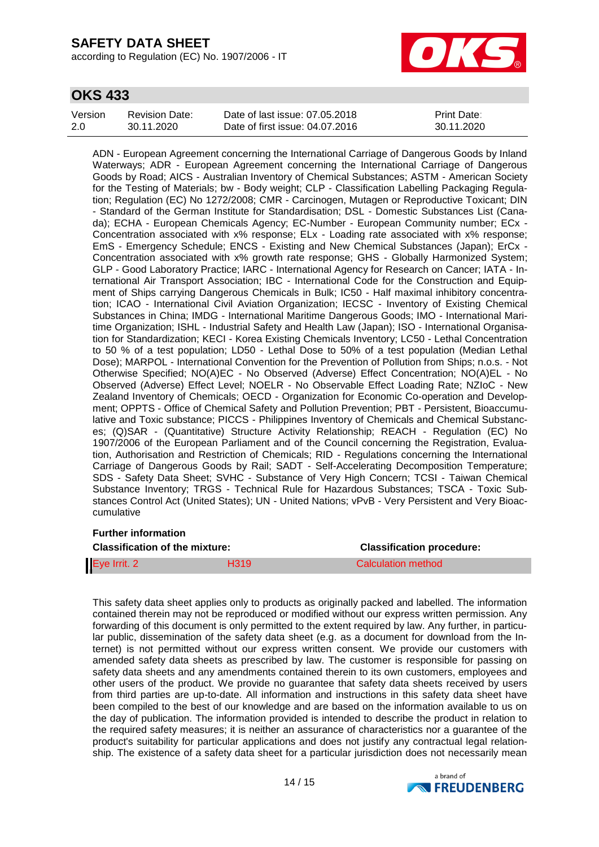according to Regulation (EC) No. 1907/2006 - IT



## **OKS 433**

| Version | Revision Date: | Date of last issue: 07.05.2018  | <b>Print Date:</b> |
|---------|----------------|---------------------------------|--------------------|
| 2.0     | 30.11.2020     | Date of first issue: 04.07.2016 | 30.11.2020         |

ADN - European Agreement concerning the International Carriage of Dangerous Goods by Inland Waterways; ADR - European Agreement concerning the International Carriage of Dangerous Goods by Road; AICS - Australian Inventory of Chemical Substances; ASTM - American Society for the Testing of Materials; bw - Body weight; CLP - Classification Labelling Packaging Regulation; Regulation (EC) No 1272/2008; CMR - Carcinogen, Mutagen or Reproductive Toxicant; DIN - Standard of the German Institute for Standardisation; DSL - Domestic Substances List (Canada); ECHA - European Chemicals Agency; EC-Number - European Community number; ECx - Concentration associated with x% response; ELx - Loading rate associated with x% response; EmS - Emergency Schedule; ENCS - Existing and New Chemical Substances (Japan); ErCx - Concentration associated with x% growth rate response; GHS - Globally Harmonized System; GLP - Good Laboratory Practice; IARC - International Agency for Research on Cancer; IATA - International Air Transport Association; IBC - International Code for the Construction and Equipment of Ships carrying Dangerous Chemicals in Bulk; IC50 - Half maximal inhibitory concentration; ICAO - International Civil Aviation Organization; IECSC - Inventory of Existing Chemical Substances in China; IMDG - International Maritime Dangerous Goods; IMO - International Maritime Organization; ISHL - Industrial Safety and Health Law (Japan); ISO - International Organisation for Standardization; KECI - Korea Existing Chemicals Inventory; LC50 - Lethal Concentration to 50 % of a test population; LD50 - Lethal Dose to 50% of a test population (Median Lethal Dose); MARPOL - International Convention for the Prevention of Pollution from Ships; n.o.s. - Not Otherwise Specified; NO(A)EC - No Observed (Adverse) Effect Concentration; NO(A)EL - No Observed (Adverse) Effect Level; NOELR - No Observable Effect Loading Rate; NZIoC - New Zealand Inventory of Chemicals; OECD - Organization for Economic Co-operation and Development; OPPTS - Office of Chemical Safety and Pollution Prevention; PBT - Persistent, Bioaccumulative and Toxic substance; PICCS - Philippines Inventory of Chemicals and Chemical Substances; (Q)SAR - (Quantitative) Structure Activity Relationship; REACH - Regulation (EC) No 1907/2006 of the European Parliament and of the Council concerning the Registration, Evaluation, Authorisation and Restriction of Chemicals; RID - Regulations concerning the International Carriage of Dangerous Goods by Rail; SADT - Self-Accelerating Decomposition Temperature; SDS - Safety Data Sheet; SVHC - Substance of Very High Concern; TCSI - Taiwan Chemical Substance Inventory; TRGS - Technical Rule for Hazardous Substances; TSCA - Toxic Substances Control Act (United States); UN - United Nations; vPvB - Very Persistent and Very Bioaccumulative

#### **Further information**

| <b>Classification of the mixture:</b> |             | <b>Classification procedure:</b> |  |  |
|---------------------------------------|-------------|----------------------------------|--|--|
| Eye Irrit. 2                          | <b>H319</b> | Calculation method               |  |  |

This safety data sheet applies only to products as originally packed and labelled. The information contained therein may not be reproduced or modified without our express written permission. Any forwarding of this document is only permitted to the extent required by law. Any further, in particular public, dissemination of the safety data sheet (e.g. as a document for download from the Internet) is not permitted without our express written consent. We provide our customers with amended safety data sheets as prescribed by law. The customer is responsible for passing on safety data sheets and any amendments contained therein to its own customers, employees and other users of the product. We provide no guarantee that safety data sheets received by users from third parties are up-to-date. All information and instructions in this safety data sheet have been compiled to the best of our knowledge and are based on the information available to us on the day of publication. The information provided is intended to describe the product in relation to the required safety measures; it is neither an assurance of characteristics nor a guarantee of the product's suitability for particular applications and does not justify any contractual legal relationship. The existence of a safety data sheet for a particular jurisdiction does not necessarily mean